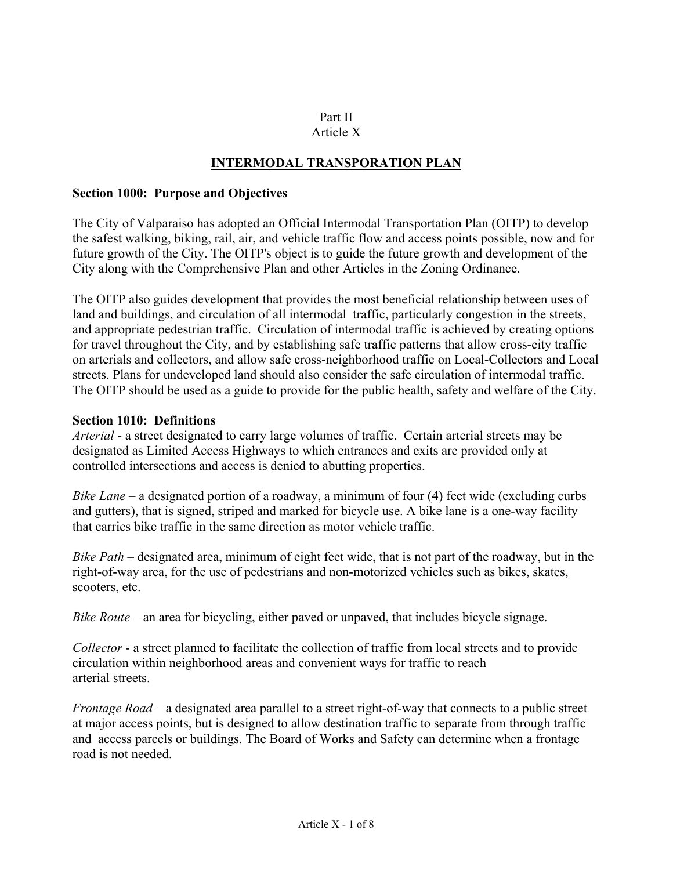#### Part II Article X

# **INTERMODAL TRANSPORATION PLAN**

#### **Section 1000: Purpose and Objectives**

The City of Valparaiso has adopted an Official Intermodal Transportation Plan (OITP) to develop the safest walking, biking, rail, air, and vehicle traffic flow and access points possible, now and for future growth of the City. The OITP's object is to guide the future growth and development of the City along with the Comprehensive Plan and other Articles in the Zoning Ordinance.

The OITP also guides development that provides the most beneficial relationship between uses of land and buildings, and circulation of all intermodal traffic, particularly congestion in the streets, and appropriate pedestrian traffic. Circulation of intermodal traffic is achieved by creating options for travel throughout the City, and by establishing safe traffic patterns that allow cross-city traffic on arterials and collectors, and allow safe cross-neighborhood traffic on Local-Collectors and Local streets. Plans for undeveloped land should also consider the safe circulation of intermodal traffic. The OITP should be used as a guide to provide for the public health, safety and welfare of the City.

#### **Section 1010: Definitions**

*Arterial* - a street designated to carry large volumes of traffic. Certain arterial streets may be designated as Limited Access Highways to which entrances and exits are provided only at controlled intersections and access is denied to abutting properties.

*Bike Lane* – a designated portion of a roadway, a minimum of four (4) feet wide (excluding curbs and gutters), that is signed, striped and marked for bicycle use. A bike lane is a one-way facility that carries bike traffic in the same direction as motor vehicle traffic.

*Bike Path* – designated area, minimum of eight feet wide, that is not part of the roadway, but in the right-of-way area, for the use of pedestrians and non-motorized vehicles such as bikes, skates, scooters, etc.

*Bike Route* – an area for bicycling, either paved or unpaved, that includes bicycle signage.

*Collector* - a street planned to facilitate the collection of traffic from local streets and to provide circulation within neighborhood areas and convenient ways for traffic to reach arterial streets.

*Frontage Road* – a designated area parallel to a street right-of-way that connects to a public street at major access points, but is designed to allow destination traffic to separate from through traffic and access parcels or buildings. The Board of Works and Safety can determine when a frontage road is not needed.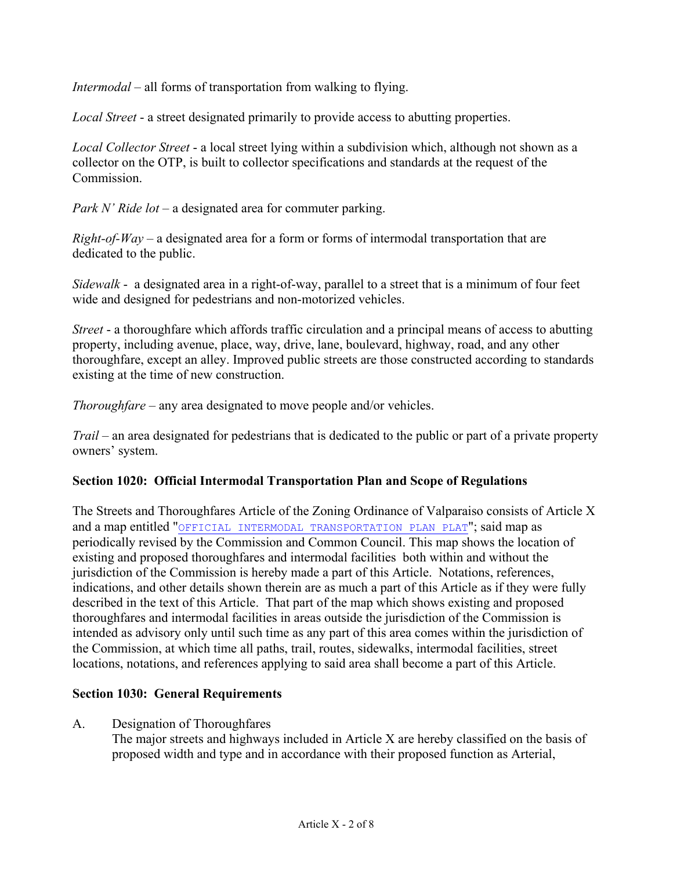*Intermodal* – all forms of transportation from walking to flying.

*Local Street* - a street designated primarily to provide access to abutting properties.

*Local Collector Street* - a local street lying within a subdivision which, although not shown as a collector on the OTP, is built to collector specifications and standards at the request of the **Commission** 

*Park N' Ride lot* – a designated area for commuter parking.

*Right-of-Way* – a designated area for a form or forms of intermodal transportation that are dedicated to the public.

*Sidewalk* - a designated area in a right-of-way, parallel to a street that is a minimum of four feet wide and designed for pedestrians and non-motorized vehicles.

*Street* - a thoroughfare which affords traffic circulation and a principal means of access to abutting property, including avenue, place, way, drive, lane, boulevard, highway, road, and any other thoroughfare, except an alley. Improved public streets are those constructed according to standards existing at the time of new construction.

*Thoroughfare* – any area designated to move people and/or vehicles.

*Trail* – an area designated for pedestrians that is dedicated to the public or part of a private property owners' system.

## **Section 1020: Official Intermodal Transportation Plan and Scope of Regulations**

The Streets and Thoroughfares Article of the Zoning Ordinance of Valparaiso consists of Article X and a map entitled "OFFICIAL INTERMODAL TRANSPORTATION PLAN PLAT"; said map as periodically revised by the Commission and Common Council. This map shows the location of existing and proposed thoroughfares and intermodal facilities both within and without the jurisdiction of the Commission is hereby made a part of this Article. Notations, references, indications, and other details shown therein are as much a part of this Article as if they were fully described in the text of this Article. That part of the map which shows existing and proposed thoroughfares and intermodal facilities in areas outside the jurisdiction of the Commission is intended as advisory only until such time as any part of this area comes within the jurisdiction of the Commission, at which time all paths, trail, routes, sidewalks, intermodal facilities, street locations, notations, and references applying to said area shall become a part of this Article.

## **Section 1030: General Requirements**

A. Designation of Thoroughfares

The major streets and highways included in Article X are hereby classified on the basis of proposed width and type and in accordance with their proposed function as Arterial,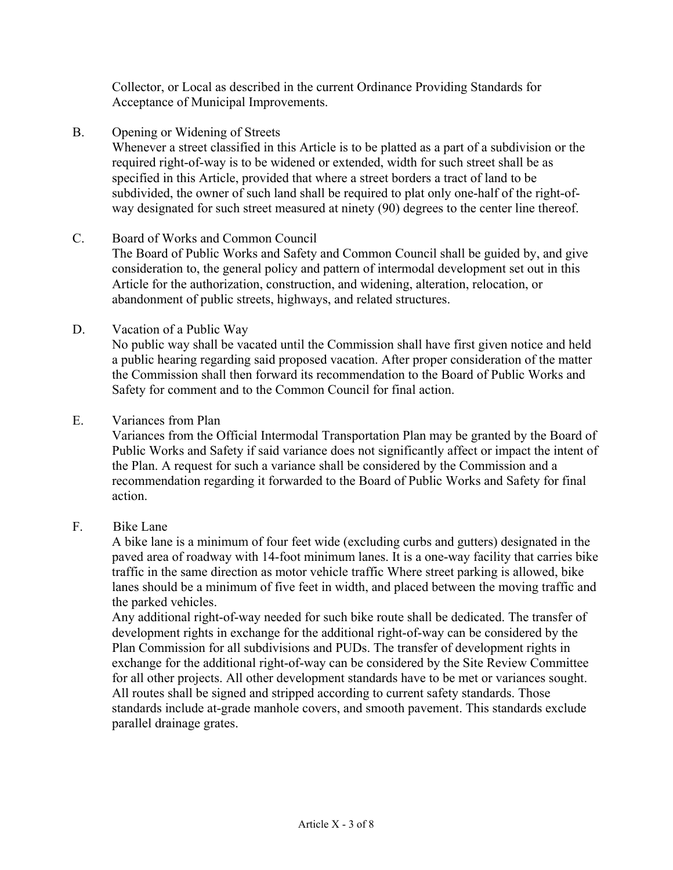Collector, or Local as described in the current Ordinance Providing Standards for Acceptance of Municipal Improvements.

B. Opening or Widening of Streets

Whenever a street classified in this Article is to be platted as a part of a subdivision or the required right-of-way is to be widened or extended, width for such street shall be as specified in this Article, provided that where a street borders a tract of land to be subdivided, the owner of such land shall be required to plat only one-half of the right-ofway designated for such street measured at ninety (90) degrees to the center line thereof.

#### C. Board of Works and Common Council

The Board of Public Works and Safety and Common Council shall be guided by, and give consideration to, the general policy and pattern of intermodal development set out in this Article for the authorization, construction, and widening, alteration, relocation, or abandonment of public streets, highways, and related structures.

#### D. Vacation of a Public Way

No public way shall be vacated until the Commission shall have first given notice and held a public hearing regarding said proposed vacation. After proper consideration of the matter the Commission shall then forward its recommendation to the Board of Public Works and Safety for comment and to the Common Council for final action.

#### E. Variances from Plan

 Variances from the Official Intermodal Transportation Plan may be granted by the Board of Public Works and Safety if said variance does not significantly affect or impact the intent of the Plan. A request for such a variance shall be considered by the Commission and a recommendation regarding it forwarded to the Board of Public Works and Safety for final action.

## F. Bike Lane

 A bike lane is a minimum of four feet wide (excluding curbs and gutters) designated in the paved area of roadway with 14-foot minimum lanes. It is a one-way facility that carries bike traffic in the same direction as motor vehicle traffic Where street parking is allowed, bike lanes should be a minimum of five feet in width, and placed between the moving traffic and the parked vehicles.

 Any additional right-of-way needed for such bike route shall be dedicated. The transfer of development rights in exchange for the additional right-of-way can be considered by the Plan Commission for all subdivisions and PUDs. The transfer of development rights in exchange for the additional right-of-way can be considered by the Site Review Committee for all other projects. All other development standards have to be met or variances sought. All routes shall be signed and stripped according to current safety standards. Those standards include at-grade manhole covers, and smooth pavement. This standards exclude parallel drainage grates.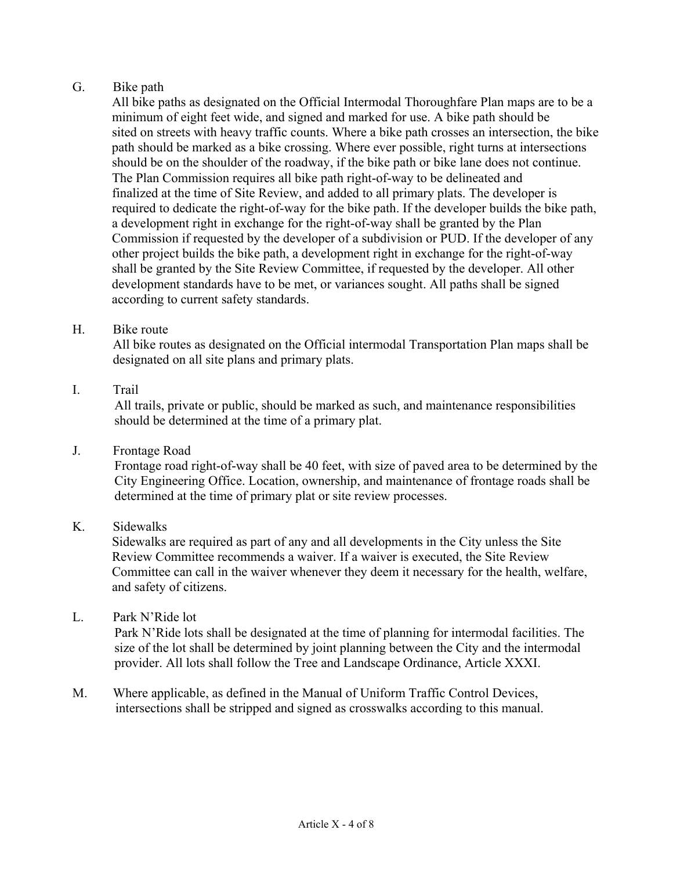# G. Bike path

 All bike paths as designated on the Official Intermodal Thoroughfare Plan maps are to be a minimum of eight feet wide, and signed and marked for use. A bike path should be sited on streets with heavy traffic counts. Where a bike path crosses an intersection, the bike path should be marked as a bike crossing. Where ever possible, right turns at intersections should be on the shoulder of the roadway, if the bike path or bike lane does not continue. The Plan Commission requires all bike path right-of-way to be delineated and finalized at the time of Site Review, and added to all primary plats. The developer is required to dedicate the right-of-way for the bike path. If the developer builds the bike path, a development right in exchange for the right-of-way shall be granted by the Plan Commission if requested by the developer of a subdivision or PUD. If the developer of any other project builds the bike path, a development right in exchange for the right-of-way shall be granted by the Site Review Committee, if requested by the developer. All other development standards have to be met, or variances sought. All paths shall be signed according to current safety standards.

## H. Bike route

All bike routes as designated on the Official intermodal Transportation Plan maps shall be designated on all site plans and primary plats.

## I. Trail

All trails, private or public, should be marked as such, and maintenance responsibilities should be determined at the time of a primary plat.

## J. Frontage Road

Frontage road right-of-way shall be 40 feet, with size of paved area to be determined by the City Engineering Office. Location, ownership, and maintenance of frontage roads shall be determined at the time of primary plat or site review processes.

## K. Sidewalks

Sidewalks are required as part of any and all developments in the City unless the Site Review Committee recommends a waiver. If a waiver is executed, the Site Review Committee can call in the waiver whenever they deem it necessary for the health, welfare, and safety of citizens.

## L. Park N'Ride lot

Park N'Ride lots shall be designated at the time of planning for intermodal facilities. The size of the lot shall be determined by joint planning between the City and the intermodal provider. All lots shall follow the Tree and Landscape Ordinance, Article XXXI.

M. Where applicable, as defined in the Manual of Uniform Traffic Control Devices, intersections shall be stripped and signed as crosswalks according to this manual.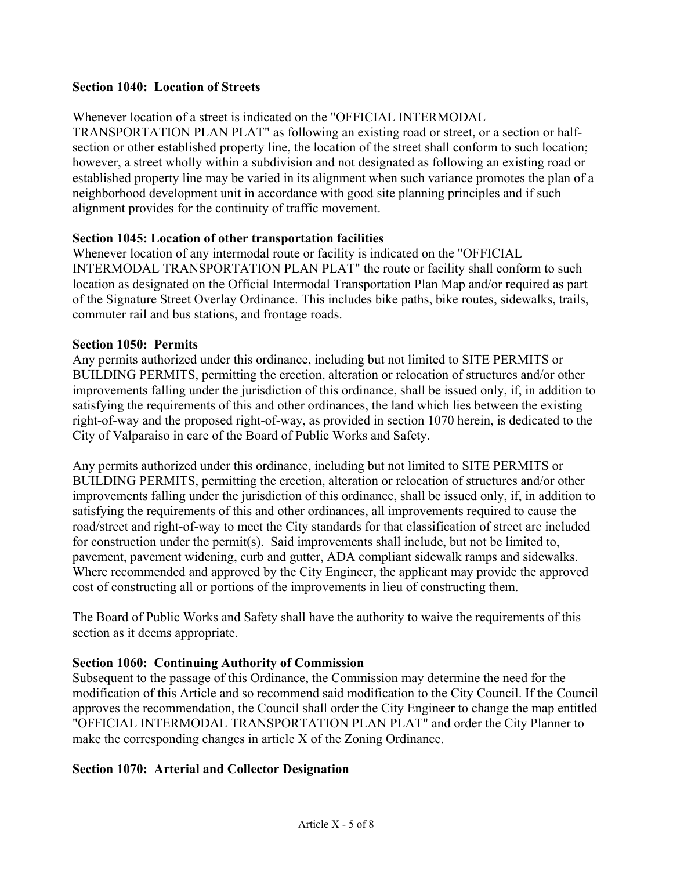#### **Section 1040: Location of Streets**

#### Whenever location of a street is indicated on the "OFFICIAL INTERMODAL

TRANSPORTATION PLAN PLAT" as following an existing road or street, or a section or halfsection or other established property line, the location of the street shall conform to such location; however, a street wholly within a subdivision and not designated as following an existing road or established property line may be varied in its alignment when such variance promotes the plan of a neighborhood development unit in accordance with good site planning principles and if such alignment provides for the continuity of traffic movement.

#### **Section 1045: Location of other transportation facilities**

Whenever location of any intermodal route or facility is indicated on the "OFFICIAL INTERMODAL TRANSPORTATION PLAN PLAT" the route or facility shall conform to such location as designated on the Official Intermodal Transportation Plan Map and/or required as part of the Signature Street Overlay Ordinance. This includes bike paths, bike routes, sidewalks, trails, commuter rail and bus stations, and frontage roads.

#### **Section 1050: Permits**

Any permits authorized under this ordinance, including but not limited to SITE PERMITS or BUILDING PERMITS, permitting the erection, alteration or relocation of structures and/or other improvements falling under the jurisdiction of this ordinance, shall be issued only, if, in addition to satisfying the requirements of this and other ordinances, the land which lies between the existing right-of-way and the proposed right-of-way, as provided in section 1070 herein, is dedicated to the City of Valparaiso in care of the Board of Public Works and Safety.

Any permits authorized under this ordinance, including but not limited to SITE PERMITS or BUILDING PERMITS, permitting the erection, alteration or relocation of structures and/or other improvements falling under the jurisdiction of this ordinance, shall be issued only, if, in addition to satisfying the requirements of this and other ordinances, all improvements required to cause the road/street and right-of-way to meet the City standards for that classification of street are included for construction under the permit(s). Said improvements shall include, but not be limited to, pavement, pavement widening, curb and gutter, ADA compliant sidewalk ramps and sidewalks. Where recommended and approved by the City Engineer, the applicant may provide the approved cost of constructing all or portions of the improvements in lieu of constructing them.

The Board of Public Works and Safety shall have the authority to waive the requirements of this section as it deems appropriate.

#### **Section 1060: Continuing Authority of Commission**

Subsequent to the passage of this Ordinance, the Commission may determine the need for the modification of this Article and so recommend said modification to the City Council. If the Council approves the recommendation, the Council shall order the City Engineer to change the map entitled "OFFICIAL INTERMODAL TRANSPORTATION PLAN PLAT" and order the City Planner to make the corresponding changes in article X of the Zoning Ordinance.

#### **Section 1070: Arterial and Collector Designation**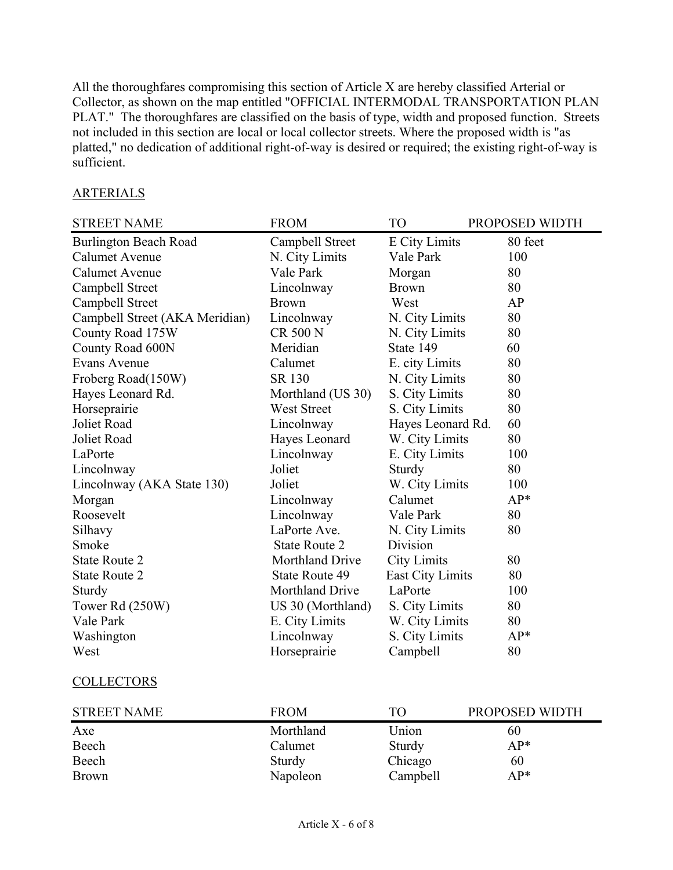All the thoroughfares compromising this section of Article X are hereby classified Arterial or Collector, as shown on the map entitled "OFFICIAL INTERMODAL TRANSPORTATION PLAN PLAT." The thoroughfares are classified on the basis of type, width and proposed function. Streets not included in this section are local or local collector streets. Where the proposed width is "as platted," no dedication of additional right-of-way is desired or required; the existing right-of-way is sufficient.

# **ARTERIALS**

| <b>STREET NAME</b>             | <b>FROM</b>            | T <sub>O</sub>       | PROPOSED WIDTH |
|--------------------------------|------------------------|----------------------|----------------|
| <b>Burlington Beach Road</b>   | Campbell Street        | <b>E</b> City Limits | 80 feet        |
| <b>Calumet Avenue</b>          | N. City Limits         | Vale Park            | 100            |
| <b>Calumet Avenue</b>          | Vale Park              | Morgan               | 80             |
| Campbell Street                | Lincolnway             | <b>Brown</b>         | 80             |
| Campbell Street                | <b>Brown</b>           | West                 | AP             |
| Campbell Street (AKA Meridian) | Lincolnway             | N. City Limits       | 80             |
| County Road 175W               | <b>CR 500 N</b>        | N. City Limits       | 80             |
| County Road 600N               | Meridian               | State 149            | 60             |
| Evans Avenue                   | Calumet                | E. city Limits       | 80             |
| Froberg Road(150W)             | SR 130                 | N. City Limits       | 80             |
| Hayes Leonard Rd.              | Morthland (US 30)      | S. City Limits       | 80             |
| Horseprairie                   | <b>West Street</b>     | S. City Limits       | 80             |
| Joliet Road                    | Lincolnway             | Hayes Leonard Rd.    | 60             |
| Joliet Road                    | Hayes Leonard          | W. City Limits       | 80             |
| LaPorte                        | Lincolnway             | E. City Limits       | 100            |
| Lincolnway                     | Joliet                 | Sturdy               | 80             |
| Lincolnway (AKA State 130)     | Joliet                 | W. City Limits       | 100            |
| Morgan                         | Lincolnway             | Calumet              | AP*            |
| Roosevelt                      | Lincolnway             | Vale Park            | 80             |
| Silhavy                        | LaPorte Ave.           | N. City Limits       | 80             |
| Smoke                          | <b>State Route 2</b>   | Division             |                |
| <b>State Route 2</b>           | <b>Morthland Drive</b> | <b>City Limits</b>   | 80             |
| <b>State Route 2</b>           | <b>State Route 49</b>  | East City Limits     | 80             |
| Sturdy                         | Morthland Drive        | LaPorte              | 100            |
| Tower Rd (250W)                | US 30 (Morthland)      | S. City Limits       | 80             |
| Vale Park                      | E. City Limits         | W. City Limits       | 80             |
| Washington                     | Lincolnway             | S. City Limits       | $AP*$          |
| West                           | Horseprairie           | Campbell             | 80             |
| <b>COLLECTORS</b>              |                        |                      |                |
| <b>STREET NAME</b>             | <b>FROM</b>            | <b>TO</b>            | PROPOSED WIDTH |
| $\Lambda$ y $\sim$             | Morthlond              | I <sub>binom</sub>   | ሬስ             |

|              | -------   |          | .     |
|--------------|-----------|----------|-------|
| Axe          | Morthland | Union    | 60    |
| Beech        | Calumet   | Sturdy   | $AP*$ |
| Beech        | Sturdy    | Chicago  | 60    |
| <b>Brown</b> | Napoleon  | Campbell | $AP*$ |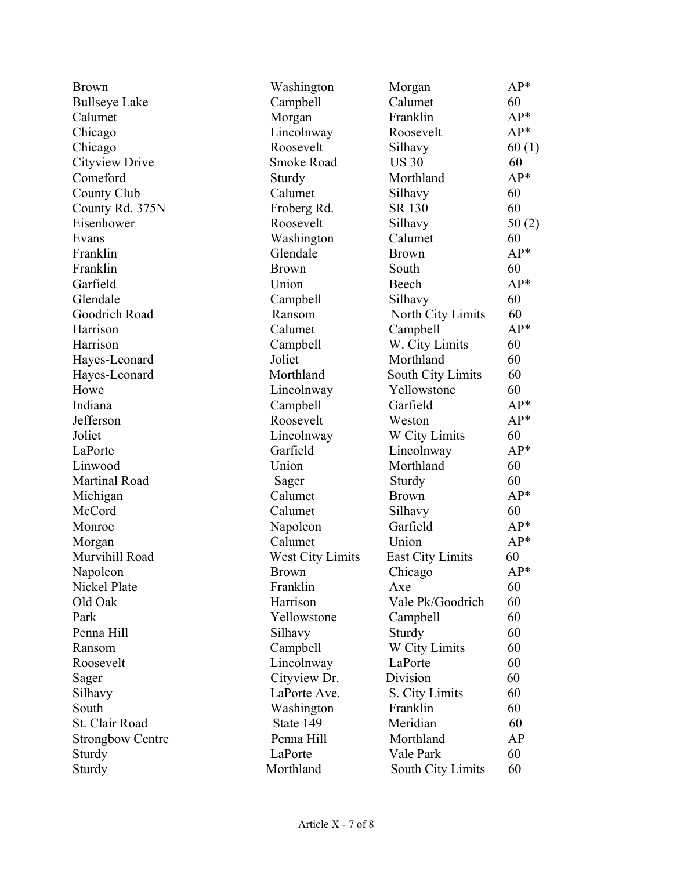| <b>Brown</b>            | Washington              | Morgan                  | $AP*$ |
|-------------------------|-------------------------|-------------------------|-------|
| <b>Bullseye Lake</b>    | Campbell                | Calumet                 | 60    |
| Calumet                 | Morgan                  | Franklin                | $AP*$ |
| Chicago                 | Lincolnway              | Roosevelt               | $AP*$ |
| Chicago                 | Roosevelt               | Silhavy                 | 60(1) |
| Cityview Drive          | <b>Smoke Road</b>       | <b>US 30</b>            | 60    |
| Comeford                | Sturdy                  | Morthland               | AP*   |
| County Club             | Calumet                 | Silhavy                 | 60    |
| County Rd. 375N         | Froberg Rd.             | SR 130                  | 60    |
| Eisenhower              | Roosevelt               | Silhavy                 | 50(2) |
| Evans                   | Washington              | Calumet                 | 60    |
| Franklin                | Glendale                | <b>Brown</b>            | $AP*$ |
| Franklin                | <b>Brown</b>            | South                   | 60    |
| Garfield                | Union                   | Beech                   | $AP*$ |
| Glendale                | Campbell                | Silhavy                 | 60    |
| Goodrich Road           | Ransom                  | North City Limits       | 60    |
| Harrison                | Calumet                 | Campbell                | AP*   |
| Harrison                | Campbell                | W. City Limits          | 60    |
| Hayes-Leonard           | Joliet                  | Morthland               | 60    |
| Hayes-Leonard           | Morthland               | South City Limits       | 60    |
| Howe                    | Lincolnway              | Yellowstone             | 60    |
| Indiana                 | Campbell                | Garfield                | AP*   |
| Jefferson               | Roosevelt               | Weston                  | $AP*$ |
| Joliet                  | Lincolnway              | W City Limits           | 60    |
| LaPorte                 | Garfield                | Lincolnway              | AP*   |
| Linwood                 | Union                   | Morthland               | 60    |
| Martinal Road           | Sager                   | Sturdy                  | 60    |
| Michigan                | Calumet                 | <b>Brown</b>            | $AP*$ |
| McCord                  | Calumet                 | Silhavy                 | 60    |
| Monroe                  | Napoleon                | Garfield                | $AP*$ |
| Morgan                  | Calumet                 | Union                   | $AP*$ |
| Murvihill Road          | <b>West City Limits</b> | <b>East City Limits</b> | 60    |
| Napoleon                | <b>Brown</b>            | Chicago                 | $AP*$ |
| Nickel Plate            | Franklin                | Axe                     | 60    |
| Old Oak                 | Harrison                | Vale Pk/Goodrich        | 60    |
| Park                    | Yellowstone             | Campbell                | 60    |
| Penna Hill              | Silhavy                 | Sturdy                  | 60    |
| Ransom                  | Campbell                | W City Limits           | 60    |
| Roosevelt               | Lincolnway              | LaPorte                 | 60    |
| Sager                   | Cityview Dr.            | Division                | 60    |
| Silhavy                 | LaPorte Ave.            | S. City Limits          | 60    |
| South                   | Washington              | Franklin                | 60    |
| St. Clair Road          | State 149               | Meridian                | 60    |
| <b>Strongbow Centre</b> | Penna Hill              | Morthland               | AP    |
| Sturdy                  | LaPorte                 | Vale Park               | 60    |
| Sturdy                  | Morthland               | South City Limits       | 60    |